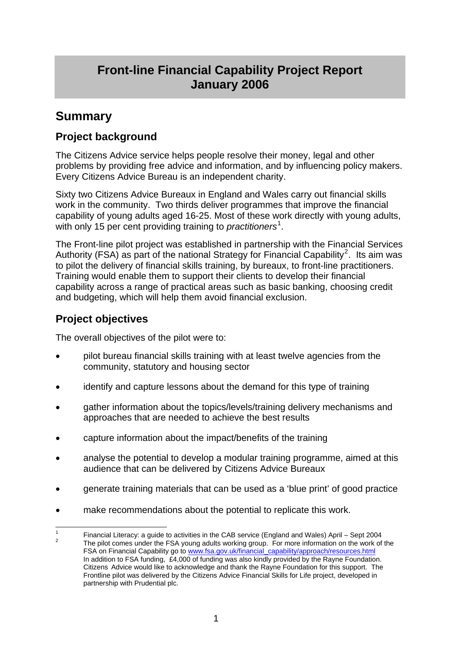# **Front-line Financial Capability Project Report January 2006**

# **Summary**

# **Project background**

The Citizens Advice service helps people resolve their money, legal and other problems by providing free advice and information, and by influencing policy makers. Every Citizens Advice Bureau is an independent charity.

Sixty two Citizens Advice Bureaux in England and Wales carry out financial skills work in the community. Two thirds deliver programmes that improve the financial capability of young adults aged 16-25. Most of these work directly with young adults, with only [1](#page-0-0)5 per cent providing training to *practitioners<sup>1</sup>*.

The Front-line pilot project was established in partnership with the Financial Services Authority (FSA) as part of the national Strategy for Financial Capability<sup>[2](#page-0-1)</sup>. Its aim was to pilot the delivery of financial skills training, by bureaux, to front-line practitioners. Training would enable them to support their clients to develop their financial capability across a range of practical areas such as basic banking, choosing credit and budgeting, which will help them avoid financial exclusion.

# **Project objectives**

The overall objectives of the pilot were to:

- pilot bureau financial skills training with at least twelve agencies from the community, statutory and housing sector
- identify and capture lessons about the demand for this type of training
- gather information about the topics/levels/training delivery mechanisms and approaches that are needed to achieve the best results
- capture information about the impact/benefits of the training
- analyse the potential to develop a modular training programme, aimed at this audience that can be delivered by Citizens Advice Bureaux
- generate training materials that can be used as a 'blue print' of good practice
- make recommendations about the potential to replicate this work.

<span id="page-0-1"></span><span id="page-0-0"></span><sup>1</sup> 1 Financial Literacy: a guide to activities in the CAB service (England and Wales) April – Sept 2004  $\sim$  The pilot comes under the FSA young adults working group. For more information on the work of the FSA on Financial Capability go to [www.fsa.gov.uk/financial\\_capability/approach/resources.html](http://www.fsa.gov.uk/financial_capability/approach/resources.html) In addition to FSA funding, £4,000 of funding was also kindly provided by the Rayne Foundation. Citizens Advice would like to acknowledge and thank the Rayne Foundation for this support. The Frontline pilot was delivered by the Citizens Advice Financial Skills for Life project, developed in partnership with Prudential plc.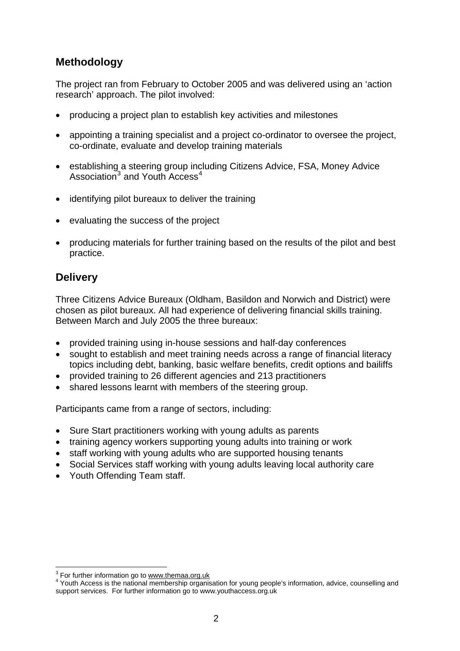# **Methodology**

The project ran from February to October 2005 and was delivered using an 'action research' approach. The pilot involved:

- producing a project plan to establish key activities and milestones
- appointing a training specialist and a project co-ordinator to oversee the project, co-ordinate, evaluate and develop training materials
- establishing a steering group including Citizens Advice, FSA, Money Advice Association<sup>[3](#page-1-0)</sup> and Youth Access<sup>[4](#page-1-1)</sup>
- identifying pilot bureaux to deliver the training
- evaluating the success of the project
- producing materials for further training based on the results of the pilot and best practice.

# **Delivery**

1

Three Citizens Advice Bureaux (Oldham, Basildon and Norwich and District) were chosen as pilot bureaux. All had experience of delivering financial skills training. Between March and July 2005 the three bureaux:

- provided training using in-house sessions and half-day conferences
- sought to establish and meet training needs across a range of financial literacy topics including debt, banking, basic welfare benefits, credit options and bailiffs
- provided training to 26 different agencies and 213 practitioners
- shared lessons learnt with members of the steering group.

Participants came from a range of sectors, including:

- Sure Start practitioners working with young adults as parents
- training agency workers supporting young adults into training or work
- staff working with young adults who are supported housing tenants
- Social Services staff working with young adults leaving local authority care
- Youth Offending Team staff.

 $3$  For further information go to [www.themaa.org.uk](http://www.themaa.org.uk/)  $4$  Youth Assess is the potional membership arganism

<span id="page-1-1"></span><span id="page-1-0"></span>Youth Access is the national membership organisation for young people's information, advice, counselling and support services. For further information go to www.youthaccess.org.uk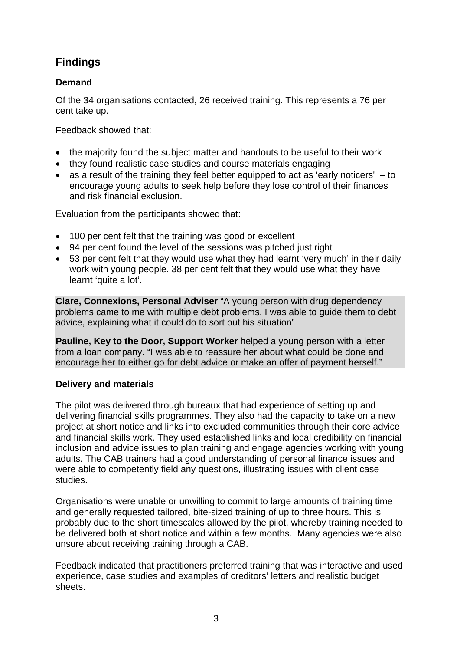# **Findings**

### **Demand**

Of the 34 organisations contacted, 26 received training. This represents a 76 per cent take up.

Feedback showed that:

- the majority found the subject matter and handouts to be useful to their work
- they found realistic case studies and course materials engaging
- as a result of the training they feel better equipped to act as 'early noticers' to encourage young adults to seek help before they lose control of their finances and risk financial exclusion.

Evaluation from the participants showed that:

- 100 per cent felt that the training was good or excellent
- 94 per cent found the level of the sessions was pitched just right
- 53 per cent felt that they would use what they had learnt 'very much' in their daily work with young people. 38 per cent felt that they would use what they have learnt 'quite a lot'.

**Clare, Connexions, Personal Adviser** "A young person with drug dependency problems came to me with multiple debt problems. I was able to guide them to debt advice, explaining what it could do to sort out his situation"

**Pauline, Key to the Door, Support Worker** helped a young person with a letter from a loan company. "I was able to reassure her about what could be done and encourage her to either go for debt advice or make an offer of payment herself."

### **Delivery and materials**

The pilot was delivered through bureaux that had experience of setting up and delivering financial skills programmes. They also had the capacity to take on a new project at short notice and links into excluded communities through their core advice and financial skills work. They used established links and local credibility on financial inclusion and advice issues to plan training and engage agencies working with young adults. The CAB trainers had a good understanding of personal finance issues and were able to competently field any questions, illustrating issues with client case studies.

Organisations were unable or unwilling to commit to large amounts of training time and generally requested tailored, bite-sized training of up to three hours. This is probably due to the short timescales allowed by the pilot, whereby training needed to be delivered both at short notice and within a few months. Many agencies were also unsure about receiving training through a CAB.

Feedback indicated that practitioners preferred training that was interactive and used experience, case studies and examples of creditors' letters and realistic budget sheets.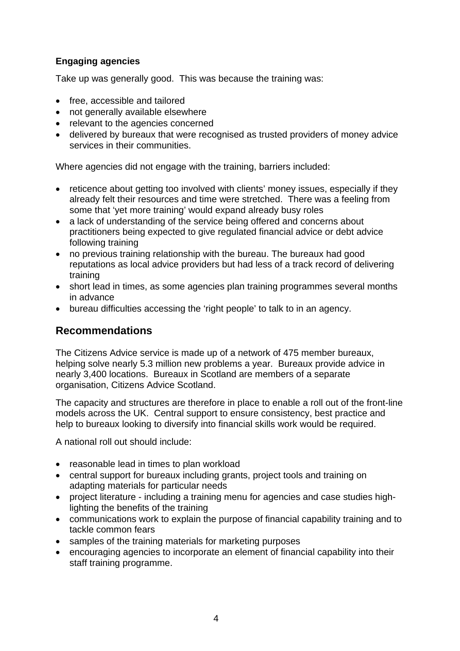### **Engaging agencies**

Take up was generally good. This was because the training was:

- free, accessible and tailored
- not generally available elsewhere
- relevant to the agencies concerned
- delivered by bureaux that were recognised as trusted providers of money advice services in their communities.

Where agencies did not engage with the training, barriers included:

- reticence about getting too involved with clients' money issues, especially if they already felt their resources and time were stretched. There was a feeling from some that 'yet more training' would expand already busy roles
- a lack of understanding of the service being offered and concerns about practitioners being expected to give regulated financial advice or debt advice following training
- no previous training relationship with the bureau. The bureaux had good reputations as local advice providers but had less of a track record of delivering training
- short lead in times, as some agencies plan training programmes several months in advance
- bureau difficulties accessing the 'right people' to talk to in an agency.

### **Recommendations**

The Citizens Advice service is made up of a network of 475 member bureaux, helping solve nearly 5.3 million new problems a year. Bureaux provide advice in nearly 3,400 locations. Bureaux in Scotland are members of a separate organisation, Citizens Advice Scotland.

The capacity and structures are therefore in place to enable a roll out of the front-line models across the UK. Central support to ensure consistency, best practice and help to bureaux looking to diversify into financial skills work would be required.

A national roll out should include:

- reasonable lead in times to plan workload
- central support for bureaux including grants, project tools and training on adapting materials for particular needs
- project literature including a training menu for agencies and case studies highlighting the benefits of the training
- communications work to explain the purpose of financial capability training and to tackle common fears
- samples of the training materials for marketing purposes
- encouraging agencies to incorporate an element of financial capability into their staff training programme.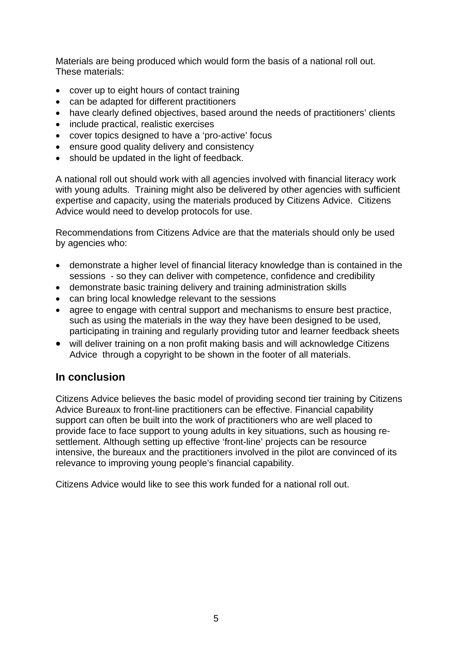Materials are being produced which would form the basis of a national roll out. These materials:

- cover up to eight hours of contact training
- can be adapted for different practitioners
- have clearly defined objectives, based around the needs of practitioners' clients
- include practical, realistic exercises
- cover topics designed to have a 'pro-active' focus
- ensure good quality delivery and consistency
- should be updated in the light of feedback.

A national roll out should work with all agencies involved with financial literacy work with young adults. Training might also be delivered by other agencies with sufficient expertise and capacity, using the materials produced by Citizens Advice. Citizens Advice would need to develop protocols for use.

Recommendations from Citizens Advice are that the materials should only be used by agencies who:

- demonstrate a higher level of financial literacy knowledge than is contained in the sessions - so they can deliver with competence, confidence and credibility
- demonstrate basic training delivery and training administration skills
- can bring local knowledge relevant to the sessions
- agree to engage with central support and mechanisms to ensure best practice. such as using the materials in the way they have been designed to be used, participating in training and regularly providing tutor and learner feedback sheets
- will deliver training on a non profit making basis and will acknowledge Citizens Advice through a copyright to be shown in the footer of all materials.

### **In conclusion**

Citizens Advice believes the basic model of providing second tier training by Citizens Advice Bureaux to front-line practitioners can be effective. Financial capability support can often be built into the work of practitioners who are well placed to provide face to face support to young adults in key situations, such as housing resettlement. Although setting up effective 'front-line' projects can be resource intensive, the bureaux and the practitioners involved in the pilot are convinced of its relevance to improving young people's financial capability.

Citizens Advice would like to see this work funded for a national roll out.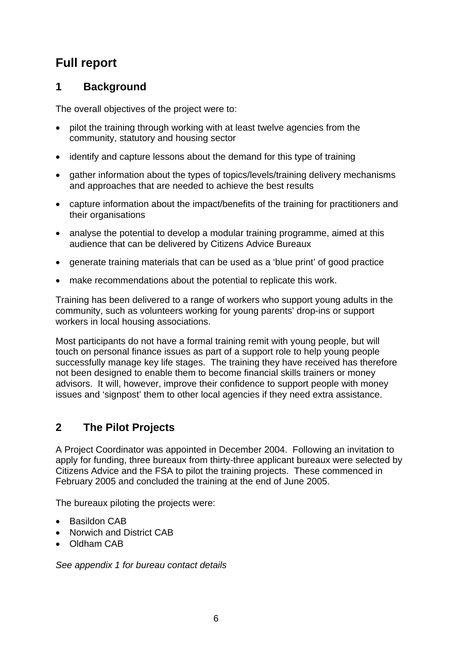# **Full report**

# **1 Background**

The overall objectives of the project were to:

- pilot the training through working with at least twelve agencies from the community, statutory and housing sector
- identify and capture lessons about the demand for this type of training
- gather information about the types of topics/levels/training delivery mechanisms and approaches that are needed to achieve the best results
- capture information about the impact/benefits of the training for practitioners and their organisations
- analyse the potential to develop a modular training programme, aimed at this audience that can be delivered by Citizens Advice Bureaux
- generate training materials that can be used as a 'blue print' of good practice
- make recommendations about the potential to replicate this work.

Training has been delivered to a range of workers who support young adults in the community, such as volunteers working for young parents' drop-ins or support workers in local housing associations.

Most participants do not have a formal training remit with young people, but will touch on personal finance issues as part of a support role to help young people successfully manage key life stages. The training they have received has therefore not been designed to enable them to become financial skills trainers or money advisors. It will, however, improve their confidence to support people with money issues and 'signpost' them to other local agencies if they need extra assistance.

# **2 The Pilot Projects**

A Project Coordinator was appointed in December 2004. Following an invitation to apply for funding, three bureaux from thirty-three applicant bureaux were selected by Citizens Advice and the FSA to pilot the training projects. These commenced in February 2005 and concluded the training at the end of June 2005.

The bureaux piloting the projects were:

- Basildon CAB
- Norwich and District CAB
- Oldham CAB

*See appendix 1 for bureau contact details*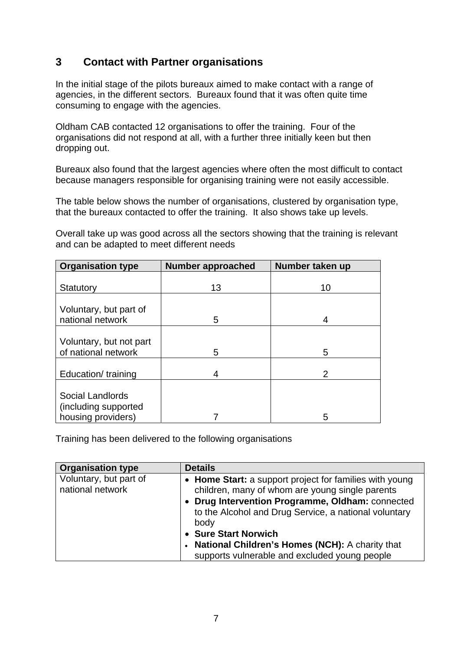# **3 Contact with Partner organisations**

In the initial stage of the pilots bureaux aimed to make contact with a range of agencies, in the different sectors. Bureaux found that it was often quite time consuming to engage with the agencies.

Oldham CAB contacted 12 organisations to offer the training. Four of the organisations did not respond at all, with a further three initially keen but then dropping out.

Bureaux also found that the largest agencies where often the most difficult to contact because managers responsible for organising training were not easily accessible.

The table below shows the number of organisations, clustered by organisation type, that the bureaux contacted to offer the training. It also shows take up levels.

Overall take up was good across all the sectors showing that the training is relevant and can be adapted to meet different needs

| <b>Organisation type</b>                                       | <b>Number approached</b> | Number taken up |
|----------------------------------------------------------------|--------------------------|-----------------|
| Statutory                                                      | 13                       | 10              |
| Voluntary, but part of<br>national network                     | 5                        | 4               |
| Voluntary, but not part<br>of national network                 | 5                        | 5               |
| Education/training                                             | 4                        | 2               |
| Social Landlords<br>(including supported<br>housing providers) |                          | 5               |

Training has been delivered to the following organisations

| <b>Organisation type</b>                   | <b>Details</b>                                                                                                                                                                                                                                                                                                                                                 |
|--------------------------------------------|----------------------------------------------------------------------------------------------------------------------------------------------------------------------------------------------------------------------------------------------------------------------------------------------------------------------------------------------------------------|
| Voluntary, but part of<br>national network | • Home Start: a support project for families with young<br>children, many of whom are young single parents<br>Drug Intervention Programme, Oldham: connected<br>to the Alcohol and Drug Service, a national voluntary<br>body<br><b>Sure Start Norwich</b><br>National Children's Homes (NCH): A charity that<br>supports vulnerable and excluded young people |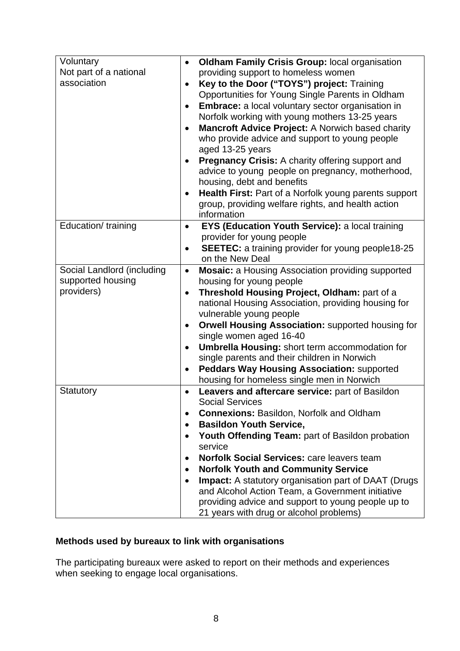| Voluntary<br>$\bullet$                  | <b>Oldham Family Crisis Group: local organisation</b>       |
|-----------------------------------------|-------------------------------------------------------------|
| Not part of a national                  | providing support to homeless women                         |
| association                             | Key to the Door ("TOYS") project: Training                  |
|                                         | Opportunities for Young Single Parents in Oldham            |
|                                         | Embrace: a local voluntary sector organisation in           |
|                                         | Norfolk working with young mothers 13-25 years              |
|                                         |                                                             |
|                                         | Mancroft Advice Project: A Norwich based charity            |
|                                         | who provide advice and support to young people              |
|                                         | aged 13-25 years                                            |
|                                         | <b>Pregnancy Crisis:</b> A charity offering support and     |
|                                         | advice to young people on pregnancy, motherhood,            |
|                                         | housing, debt and benefits                                  |
|                                         | Health First: Part of a Norfolk young parents support       |
|                                         | group, providing welfare rights, and health action          |
|                                         | information                                                 |
|                                         |                                                             |
| Education/training<br>$\bullet$         | EYS (Education Youth Service): a local training             |
|                                         | provider for young people                                   |
|                                         | <b>SEETEC:</b> a training provider for young people18-25    |
|                                         | on the New Deal                                             |
| Social Landlord (including<br>$\bullet$ | <b>Mosaic:</b> a Housing Association providing supported    |
| supported housing                       | housing for young people                                    |
| providers)<br>$\bullet$                 | Threshold Housing Project, Oldham: part of a                |
|                                         | national Housing Association, providing housing for         |
|                                         | vulnerable young people                                     |
|                                         | <b>Orwell Housing Association: supported housing for</b>    |
|                                         |                                                             |
|                                         | single women aged 16-40                                     |
| $\bullet$                               | Umbrella Housing: short term accommodation for              |
|                                         | single parents and their children in Norwich                |
| $\bullet$                               | <b>Peddars Way Housing Association: supported</b>           |
|                                         | housing for homeless single men in Norwich                  |
| Statutory<br>٠                          | Leavers and aftercare service: part of Basildon             |
|                                         | <b>Social Services</b>                                      |
|                                         | <b>Connexions: Basildon, Norfolk and Oldham</b>             |
|                                         | <b>Basildon Youth Service,</b>                              |
|                                         |                                                             |
| $\bullet$                               | Youth Offending Team: part of Basildon probation            |
|                                         | service                                                     |
| $\bullet$                               | <b>Norfolk Social Services: care leavers team</b>           |
| $\bullet$                               | <b>Norfolk Youth and Community Service</b>                  |
|                                         | <b>Impact:</b> A statutory organisation part of DAAT (Drugs |
|                                         | and Alcohol Action Team, a Government initiative            |
|                                         | providing advice and support to young people up to          |
|                                         | 21 years with drug or alcohol problems)                     |

# **Methods used by bureaux to link with organisations**

The participating bureaux were asked to report on their methods and experiences when seeking to engage local organisations.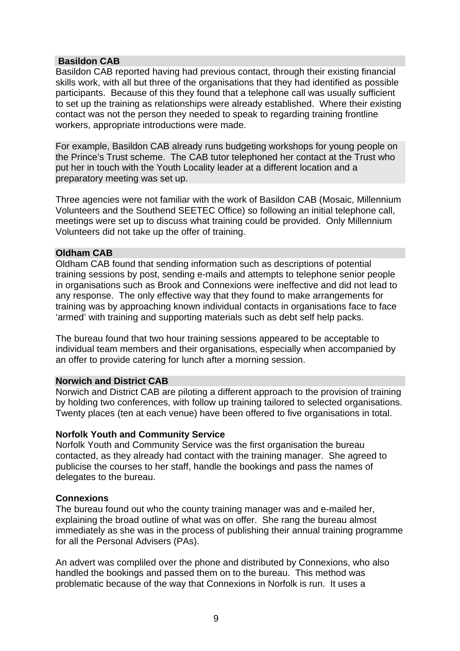### **Basildon CAB**

Basildon CAB reported having had previous contact, through their existing financial skills work, with all but three of the organisations that they had identified as possible participants. Because of this they found that a telephone call was usually sufficient to set up the training as relationships were already established. Where their existing contact was not the person they needed to speak to regarding training frontline workers, appropriate introductions were made.

For example, Basildon CAB already runs budgeting workshops for young people on the Prince's Trust scheme. The CAB tutor telephoned her contact at the Trust who put her in touch with the Youth Locality leader at a different location and a preparatory meeting was set up.

Three agencies were not familiar with the work of Basildon CAB (Mosaic, Millennium Volunteers and the Southend SEETEC Office) so following an initial telephone call, meetings were set up to discuss what training could be provided. Only Millennium Volunteers did not take up the offer of training.

#### **Oldham CAB**

Oldham CAB found that sending information such as descriptions of potential training sessions by post, sending e-mails and attempts to telephone senior people in organisations such as Brook and Connexions were ineffective and did not lead to any response. The only effective way that they found to make arrangements for training was by approaching known individual contacts in organisations face to face 'armed' with training and supporting materials such as debt self help packs.

The bureau found that two hour training sessions appeared to be acceptable to individual team members and their organisations, especially when accompanied by an offer to provide catering for lunch after a morning session.

#### **Norwich and District CAB**

Norwich and District CAB are piloting a different approach to the provision of training by holding two conferences, with follow up training tailored to selected organisations. Twenty places (ten at each venue) have been offered to five organisations in total.

### **Norfolk Youth and Community Service**

Norfolk Youth and Community Service was the first organisation the bureau contacted, as they already had contact with the training manager. She agreed to publicise the courses to her staff, handle the bookings and pass the names of delegates to the bureau.

### **Connexions**

The bureau found out who the county training manager was and e-mailed her, explaining the broad outline of what was on offer. She rang the bureau almost immediately as she was in the process of publishing their annual training programme for all the Personal Advisers (PAs).

An advert was compliled over the phone and distributed by Connexions, who also handled the bookings and passed them on to the bureau. This method was problematic because of the way that Connexions in Norfolk is run. It uses a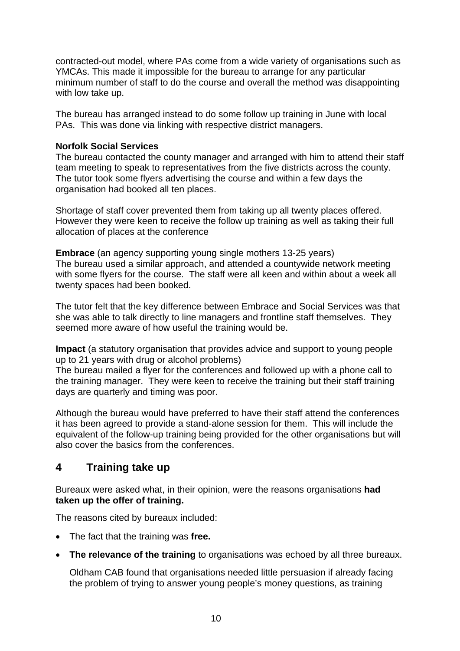contracted-out model, where PAs come from a wide variety of organisations such as YMCAs. This made it impossible for the bureau to arrange for any particular minimum number of staff to do the course and overall the method was disappointing with low take up.

The bureau has arranged instead to do some follow up training in June with local PAs. This was done via linking with respective district managers.

### **Norfolk Social Services**

The bureau contacted the county manager and arranged with him to attend their staff team meeting to speak to representatives from the five districts across the county. The tutor took some flyers advertising the course and within a few days the organisation had booked all ten places.

Shortage of staff cover prevented them from taking up all twenty places offered. However they were keen to receive the follow up training as well as taking their full allocation of places at the conference

**Embrace** (an agency supporting young single mothers 13-25 years) The bureau used a similar approach, and attended a countywide network meeting with some flyers for the course. The staff were all keen and within about a week all twenty spaces had been booked.

The tutor felt that the key difference between Embrace and Social Services was that she was able to talk directly to line managers and frontline staff themselves. They seemed more aware of how useful the training would be.

**Impact** (a statutory organisation that provides advice and support to young people up to 21 years with drug or alcohol problems)

The bureau mailed a flyer for the conferences and followed up with a phone call to the training manager. They were keen to receive the training but their staff training days are quarterly and timing was poor.

Although the bureau would have preferred to have their staff attend the conferences it has been agreed to provide a stand-alone session for them. This will include the equivalent of the follow-up training being provided for the other organisations but will also cover the basics from the conferences.

### **4 Training take up**

Bureaux were asked what, in their opinion, were the reasons organisations **had taken up the offer of training.** 

The reasons cited by bureaux included:

- The fact that the training was **free.**
- **The relevance of the training** to organisations was echoed by all three bureaux.

Oldham CAB found that organisations needed little persuasion if already facing the problem of trying to answer young people's money questions, as training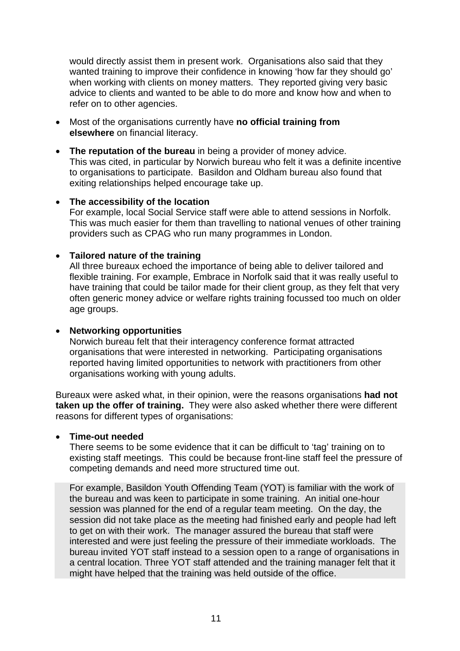would directly assist them in present work. Organisations also said that they wanted training to improve their confidence in knowing 'how far they should go' when working with clients on money matters. They reported giving very basic advice to clients and wanted to be able to do more and know how and when to refer on to other agencies.

- Most of the organisations currently have **no official training from elsewhere** on financial literacy.
- **The reputation of the bureau** in being a provider of money advice. This was cited, in particular by Norwich bureau who felt it was a definite incentive to organisations to participate. Basildon and Oldham bureau also found that exiting relationships helped encourage take up.

### • **The accessibility of the location**

 For example, local Social Service staff were able to attend sessions in Norfolk. This was much easier for them than travelling to national venues of other training providers such as CPAG who run many programmes in London.

### • **Tailored nature of the training**

 All three bureaux echoed the importance of being able to deliver tailored and flexible training. For example, Embrace in Norfolk said that it was really useful to have training that could be tailor made for their client group, as they felt that very often generic money advice or welfare rights training focussed too much on older age groups.

### • **Networking opportunities**

 Norwich bureau felt that their interagency conference format attracted organisations that were interested in networking. Participating organisations reported having limited opportunities to network with practitioners from other organisations working with young adults.

Bureaux were asked what, in their opinion, were the reasons organisations **had not taken up the offer of training.** They were also asked whether there were different reasons for different types of organisations:

### • **Time-out needed**

 There seems to be some evidence that it can be difficult to 'tag' training on to existing staff meetings. This could be because front-line staff feel the pressure of competing demands and need more structured time out.

 For example, Basildon Youth Offending Team (YOT) is familiar with the work of the bureau and was keen to participate in some training. An initial one-hour session was planned for the end of a regular team meeting. On the day, the session did not take place as the meeting had finished early and people had left to get on with their work. The manager assured the bureau that staff were interested and were just feeling the pressure of their immediate workloads. The bureau invited YOT staff instead to a session open to a range of organisations in a central location. Three YOT staff attended and the training manager felt that it might have helped that the training was held outside of the office.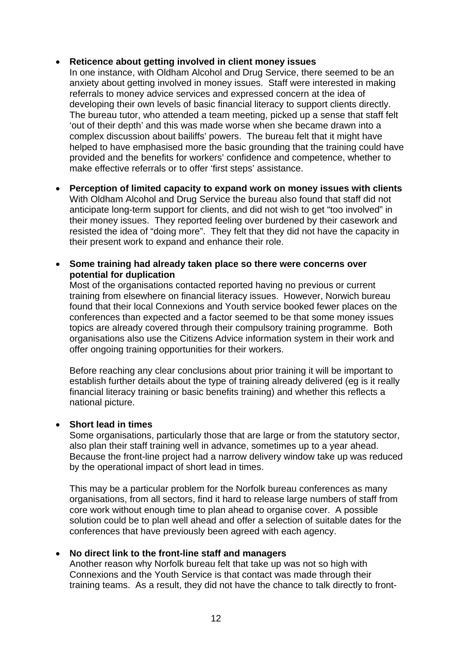### • **Reticence about getting involved in client money issues**

 In one instance, with Oldham Alcohol and Drug Service, there seemed to be an anxiety about getting involved in money issues. Staff were interested in making referrals to money advice services and expressed concern at the idea of developing their own levels of basic financial literacy to support clients directly. The bureau tutor, who attended a team meeting, picked up a sense that staff felt 'out of their depth' and this was made worse when she became drawn into a complex discussion about bailiffs' powers. The bureau felt that it might have helped to have emphasised more the basic grounding that the training could have provided and the benefits for workers' confidence and competence, whether to make effective referrals or to offer 'first steps' assistance.

- **Perception of limited capacity to expand work on money issues with clients**  With Oldham Alcohol and Drug Service the bureau also found that staff did not anticipate long-term support for clients, and did not wish to get "too involved" in their money issues. They reported feeling over burdened by their casework and resisted the idea of "doing more". They felt that they did not have the capacity in their present work to expand and enhance their role.
- **Some training had already taken place so there were concerns over potential for duplication**

 Most of the organisations contacted reported having no previous or current training from elsewhere on financial literacy issues. However, Norwich bureau found that their local Connexions and Youth service booked fewer places on the conferences than expected and a factor seemed to be that some money issues topics are already covered through their compulsory training programme. Both organisations also use the Citizens Advice information system in their work and offer ongoing training opportunities for their workers.

 Before reaching any clear conclusions about prior training it will be important to establish further details about the type of training already delivered (eg is it really financial literacy training or basic benefits training) and whether this reflects a national picture.

### • **Short lead in times**

 Some organisations, particularly those that are large or from the statutory sector, also plan their staff training well in advance, sometimes up to a year ahead. Because the front-line project had a narrow delivery window take up was reduced by the operational impact of short lead in times.

 This may be a particular problem for the Norfolk bureau conferences as many organisations, from all sectors, find it hard to release large numbers of staff from core work without enough time to plan ahead to organise cover. A possible solution could be to plan well ahead and offer a selection of suitable dates for the conferences that have previously been agreed with each agency.

### • **No direct link to the front-line staff and managers**

 Another reason why Norfolk bureau felt that take up was not so high with Connexions and the Youth Service is that contact was made through their training teams. As a result, they did not have the chance to talk directly to front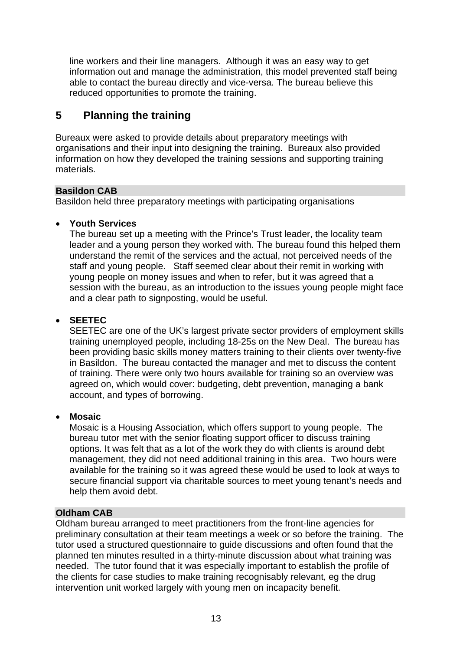line workers and their line managers. Although it was an easy way to get information out and manage the administration, this model prevented staff being able to contact the bureau directly and vice-versa. The bureau believe this reduced opportunities to promote the training.

# **5 Planning the training**

Bureaux were asked to provide details about preparatory meetings with organisations and their input into designing the training. Bureaux also provided information on how they developed the training sessions and supporting training materials.

### **Basildon CAB**

Basildon held three preparatory meetings with participating organisations

### • **Youth Services**

The bureau set up a meeting with the Prince's Trust leader, the locality team leader and a young person they worked with. The bureau found this helped them understand the remit of the services and the actual, not perceived needs of the staff and young people. Staff seemed clear about their remit in working with young people on money issues and when to refer, but it was agreed that a session with the bureau, as an introduction to the issues young people might face and a clear path to signposting, would be useful.

### • **SEETEC**

 SEETEC are one of the UK's largest private sector providers of employment skills training unemployed people, including 18-25s on the New Deal. The bureau has been providing basic skills money matters training to their clients over twenty-five in Basildon. The bureau contacted the manager and met to discuss the content of training. There were only two hours available for training so an overview was agreed on, which would cover: budgeting, debt prevention, managing a bank account, and types of borrowing.

### • **Mosaic**

 Mosaic is a Housing Association, which offers support to young people. The bureau tutor met with the senior floating support officer to discuss training options. It was felt that as a lot of the work they do with clients is around debt management, they did not need additional training in this area. Two hours were available for the training so it was agreed these would be used to look at ways to secure financial support via charitable sources to meet young tenant's needs and help them avoid debt.

### **Oldham CAB**

Oldham bureau arranged to meet practitioners from the front-line agencies for preliminary consultation at their team meetings a week or so before the training. The tutor used a structured questionnaire to guide discussions and often found that the planned ten minutes resulted in a thirty-minute discussion about what training was needed. The tutor found that it was especially important to establish the profile of the clients for case studies to make training recognisably relevant, eg the drug intervention unit worked largely with young men on incapacity benefit.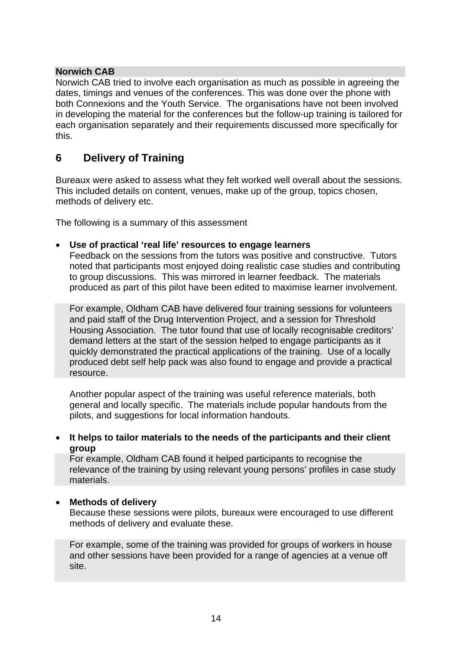### **Norwich CAB**

Norwich CAB tried to involve each organisation as much as possible in agreeing the dates, timings and venues of the conferences. This was done over the phone with both Connexions and the Youth Service. The organisations have not been involved in developing the material for the conferences but the follow-up training is tailored for each organisation separately and their requirements discussed more specifically for this.

# **6 Delivery of Training**

Bureaux were asked to assess what they felt worked well overall about the sessions. This included details on content, venues, make up of the group, topics chosen, methods of delivery etc.

The following is a summary of this assessment

### • **Use of practical 'real life' resources to engage learners**

 Feedback on the sessions from the tutors was positive and constructive. Tutors noted that participants most enjoyed doing realistic case studies and contributing to group discussions. This was mirrored in learner feedback. The materials produced as part of this pilot have been edited to maximise learner involvement.

 For example, Oldham CAB have delivered four training sessions for volunteers and paid staff of the Drug Intervention Project, and a session for Threshold Housing Association. The tutor found that use of locally recognisable creditors' demand letters at the start of the session helped to engage participants as it quickly demonstrated the practical applications of the training. Use of a locally produced debt self help pack was also found to engage and provide a practical resource.

 Another popular aspect of the training was useful reference materials, both general and locally specific. The materials include popular handouts from the pilots, and suggestions for local information handouts.

### • **It helps to tailor materials to the needs of the participants and their client group**

 For example, Oldham CAB found it helped participants to recognise the relevance of the training by using relevant young persons' profiles in case study materials.

### • **Methods of delivery**

 Because these sessions were pilots, bureaux were encouraged to use different methods of delivery and evaluate these.

 For example, some of the training was provided for groups of workers in house and other sessions have been provided for a range of agencies at a venue off site.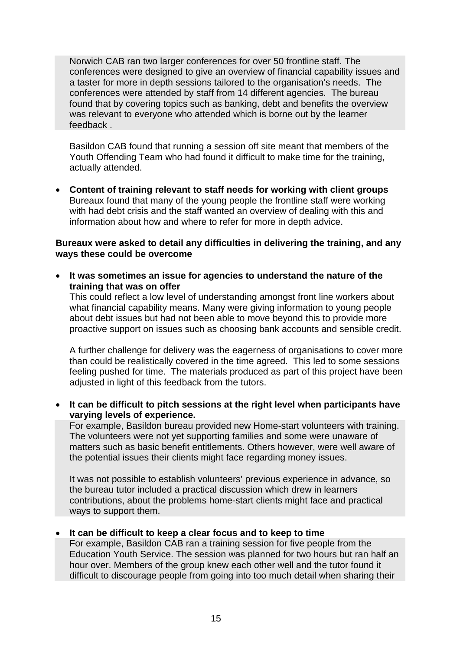Norwich CAB ran two larger conferences for over 50 frontline staff. The conferences were designed to give an overview of financial capability issues and a taster for more in depth sessions tailored to the organisation's needs. The conferences were attended by staff from 14 different agencies. The bureau found that by covering topics such as banking, debt and benefits the overview was relevant to everyone who attended which is borne out by the learner feedback .

Basildon CAB found that running a session off site meant that members of the Youth Offending Team who had found it difficult to make time for the training, actually attended.

• **Content of training relevant to staff needs for working with client groups**  Bureaux found that many of the young people the frontline staff were working with had debt crisis and the staff wanted an overview of dealing with this and information about how and where to refer for more in depth advice.

### **Bureaux were asked to detail any difficulties in delivering the training, and any ways these could be overcome**

• **It was sometimes an issue for agencies to understand the nature of the training that was on offer**

 This could reflect a low level of understanding amongst front line workers about what financial capability means. Many were giving information to young people about debt issues but had not been able to move beyond this to provide more proactive support on issues such as choosing bank accounts and sensible credit.

 A further challenge for delivery was the eagerness of organisations to cover more than could be realistically covered in the time agreed. This led to some sessions feeling pushed for time. The materials produced as part of this project have been adjusted in light of this feedback from the tutors.

• **It can be difficult to pitch sessions at the right level when participants have varying levels of experience.** 

 For example, Basildon bureau provided new Home-start volunteers with training. The volunteers were not yet supporting families and some were unaware of matters such as basic benefit entitlements. Others however, were well aware of the potential issues their clients might face regarding money issues.

 It was not possible to establish volunteers' previous experience in advance, so the bureau tutor included a practical discussion which drew in learners contributions, about the problems home-start clients might face and practical ways to support them.

### • **It can be difficult to keep a clear focus and to keep to time**

 For example, Basildon CAB ran a training session for five people from the Education Youth Service. The session was planned for two hours but ran half an hour over. Members of the group knew each other well and the tutor found it difficult to discourage people from going into too much detail when sharing their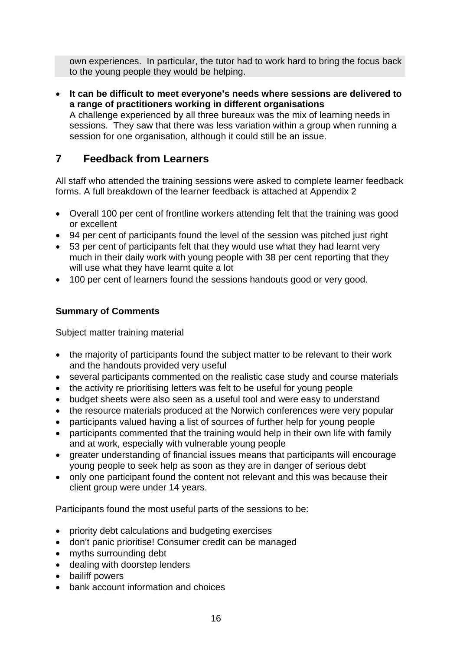own experiences. In particular, the tutor had to work hard to bring the focus back to the young people they would be helping.

• **It can be difficult to meet everyone's needs where sessions are delivered to a range of practitioners working in different organisations**  A challenge experienced by all three bureaux was the mix of learning needs in sessions. They saw that there was less variation within a group when running a

session for one organisation, although it could still be an issue.

# **7 Feedback from Learners**

All staff who attended the training sessions were asked to complete learner feedback forms. A full breakdown of the learner feedback is attached at Appendix 2

- Overall 100 per cent of frontline workers attending felt that the training was good or excellent
- 94 per cent of participants found the level of the session was pitched just right
- 53 per cent of participants felt that they would use what they had learnt very much in their daily work with young people with 38 per cent reporting that they will use what they have learnt quite a lot
- 100 per cent of learners found the sessions handouts good or very good.

### **Summary of Comments**

Subject matter training material

- the majority of participants found the subject matter to be relevant to their work and the handouts provided very useful
- several participants commented on the realistic case study and course materials
- the activity re prioritising letters was felt to be useful for young people
- budget sheets were also seen as a useful tool and were easy to understand
- the resource materials produced at the Norwich conferences were very popular
- participants valued having a list of sources of further help for young people
- participants commented that the training would help in their own life with family and at work, especially with vulnerable young people
- greater understanding of financial issues means that participants will encourage young people to seek help as soon as they are in danger of serious debt
- only one participant found the content not relevant and this was because their client group were under 14 years.

Participants found the most useful parts of the sessions to be:

- priority debt calculations and budgeting exercises
- don't panic prioritise! Consumer credit can be managed
- myths surrounding debt
- dealing with doorstep lenders
- bailiff powers
- bank account information and choices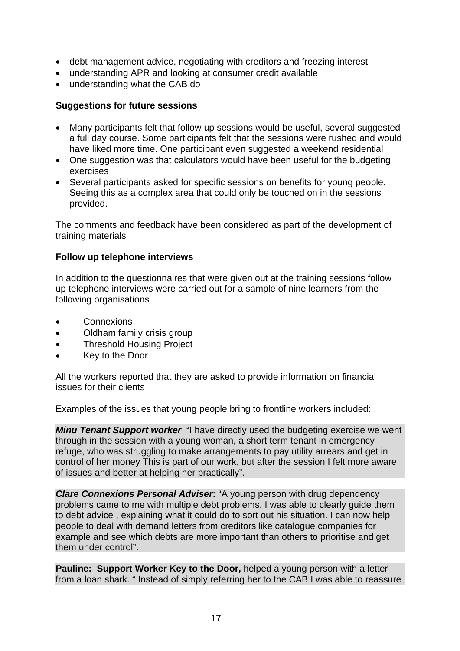- debt management advice, negotiating with creditors and freezing interest
- understanding APR and looking at consumer credit available
- understanding what the CAB do

### **Suggestions for future sessions**

- Many participants felt that follow up sessions would be useful, several suggested a full day course. Some participants felt that the sessions were rushed and would have liked more time. One participant even suggested a weekend residential
- One suggestion was that calculators would have been useful for the budgeting exercises
- Several participants asked for specific sessions on benefits for young people. Seeing this as a complex area that could only be touched on in the sessions provided.

The comments and feedback have been considered as part of the development of training materials

### **Follow up telephone interviews**

In addition to the questionnaires that were given out at the training sessions follow up telephone interviews were carried out for a sample of nine learners from the following organisations

- **Connexions**
- Oldham family crisis group
- Threshold Housing Project
- Key to the Door

All the workers reported that they are asked to provide information on financial issues for their clients

Examples of the issues that young people bring to frontline workers included:

*Minu Tenant Support worker* "I have directly used the budgeting exercise we went through in the session with a young woman, a short term tenant in emergency refuge, who was struggling to make arrangements to pay utility arrears and get in control of her money This is part of our work, but after the session I felt more aware of issues and better at helping her practically".

*Clare Connexions Personal Adviser***:** "A young person with drug dependency problems came to me with multiple debt problems. I was able to clearly guide them to debt advice , explaining what it could do to sort out his situation. I can now help people to deal with demand letters from creditors like catalogue companies for example and see which debts are more important than others to prioritise and get them under control".

**Pauline: Support Worker Key to the Door,** helped a young person with a letter from a loan shark. " Instead of simply referring her to the CAB I was able to reassure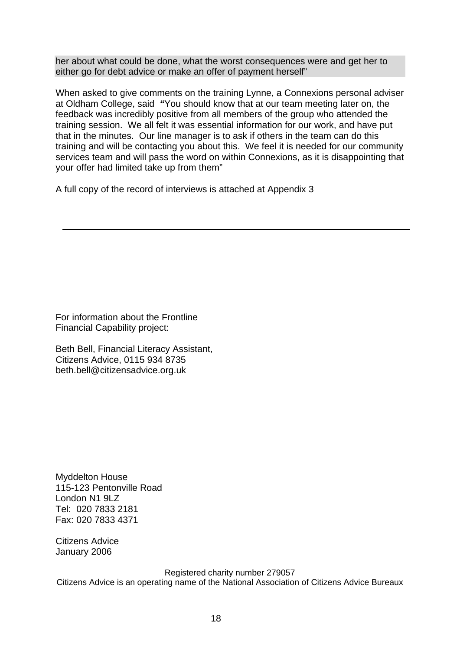her about what could be done, what the worst consequences were and get her to either go for debt advice or make an offer of payment herself"

When asked to give comments on the training Lynne, a Connexions personal adviser at Oldham College, said *"*You should know that at our team meeting later on, the feedback was incredibly positive from all members of the group who attended the training session. We all felt it was essential information for our work, and have put that in the minutes. Our line manager is to ask if others in the team can do this training and will be contacting you about this. We feel it is needed for our community services team and will pass the word on within Connexions, as it is disappointing that your offer had limited take up from them"

A full copy of the record of interviews is attached at Appendix 3

For information about the Frontline Financial Capability project:

Beth Bell, Financial Literacy Assistant, Citizens Advice, 0115 934 8735 beth.bell@citizensadvice.org.uk

Myddelton House 115-123 Pentonville Road London N1 9LZ Tel: 020 7833 2181 Fax: 020 7833 4371

Citizens Advice January 2006

Registered charity number 279057 Citizens Advice is an operating name of the National Association of Citizens Advice Bureaux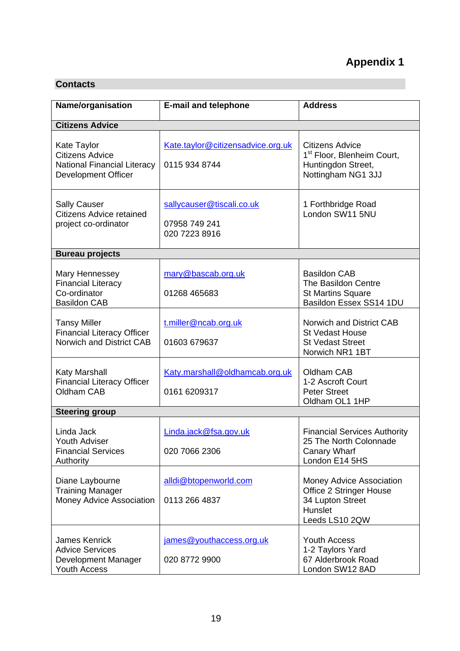### **Contacts**

| Name/organisation                                                                                  | <b>E-mail and telephone</b>                                 | <b>Address</b>                                                                                               |  |
|----------------------------------------------------------------------------------------------------|-------------------------------------------------------------|--------------------------------------------------------------------------------------------------------------|--|
| <b>Citizens Advice</b>                                                                             |                                                             |                                                                                                              |  |
| Kate Taylor<br><b>Citizens Advice</b><br>National Financial Literacy<br><b>Development Officer</b> | Kate.taylor@citizensadvice.org.uk<br>0115 934 8744          | <b>Citizens Advice</b><br>1 <sup>st</sup> Floor, Blenheim Court,<br>Huntingdon Street,<br>Nottingham NG1 3JJ |  |
| <b>Sally Causer</b><br><b>Citizens Advice retained</b><br>project co-ordinator                     | sallycauser@tiscali.co.uk<br>07958 749 241<br>020 7223 8916 | 1 Forthbridge Road<br>London SW11 5NU                                                                        |  |
| <b>Bureau projects</b>                                                                             |                                                             |                                                                                                              |  |
| Mary Hennessey<br><b>Financial Literacy</b><br>Co-ordinator<br><b>Basildon CAB</b>                 | mary@bascab.org.uk<br>01268 465683                          | <b>Basildon CAB</b><br>The Basildon Centre<br><b>St Martins Square</b><br>Basildon Essex SS14 1DU            |  |
| <b>Tansy Miller</b><br><b>Financial Literacy Officer</b><br>Norwich and District CAB               | t.miller@ncab.org.uk<br>01603 679637                        | Norwich and District CAB<br><b>St Vedast House</b><br><b>St Vedast Street</b><br>Norwich NR1 1BT             |  |
| Katy Marshall<br><b>Financial Literacy Officer</b><br>Oldham CAB                                   | Katy.marshall@oldhamcab.org.uk<br>0161 6209317              | Oldham CAB<br>1-2 Ascroft Court<br><b>Peter Street</b><br>Oldham OL1 1HP                                     |  |
| <b>Steering group</b>                                                                              |                                                             |                                                                                                              |  |
| Linda Jack<br><b>Youth Adviser</b><br><b>Financial Services</b><br>Authority                       | Linda.jack@fsa.gov.uk<br>020 7066 2306                      | <b>Financial Services Authority</b><br>25 The North Colonnade<br>Canary Wharf<br>London E14 5HS              |  |
| Diane Laybourne<br><b>Training Manager</b><br>Money Advice Association                             | alldi@btopenworld.com<br>0113 266 4837                      | Money Advice Association<br><b>Office 2 Stringer House</b><br>34 Lupton Street<br>Hunslet<br>Leeds LS10 2QW  |  |
| <b>James Kenrick</b><br><b>Advice Services</b><br>Development Manager<br>Youth Access              | james@youthaccess.org.uk<br>020 8772 9900                   | <b>Youth Access</b><br>1-2 Taylors Yard<br>67 Alderbrook Road<br>London SW12 8AD                             |  |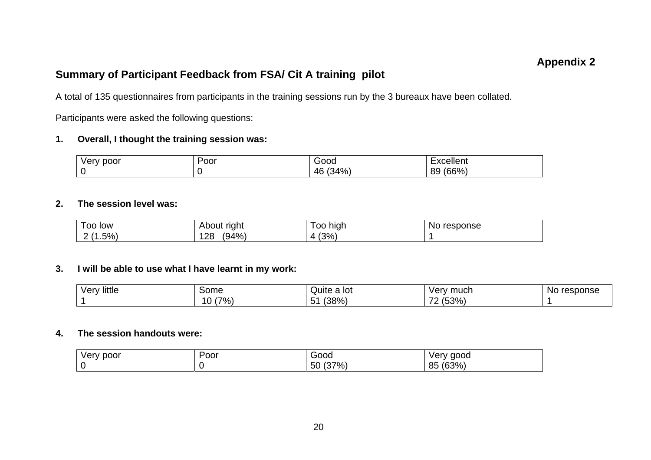### **Appendix 2**

### **Summary of Participant Feedback from FSA/ Cit A training pilot**

A total of 135 questionnaires from participants in the training sessions run by the 3 bureaux have been collated.

Participants were asked the following questions:

### **1. Overall, I thought the training session was:**

| y poor<br><b>Very</b> | Poor | Good        | Excellent   |
|-----------------------|------|-------------|-------------|
|                       |      | (34%)<br>46 | (66%)<br>89 |

#### **2. The session level was:**

| $\overline{\phantom{0}}$<br>100<br>low | About right  | high<br>oo | response<br>No. |
|----------------------------------------|--------------|------------|-----------------|
| (.5%)<br>-                             | (94%)<br>128 | (3%)       |                 |

### **3. I will be able to use what I have learnt in my work:**

| little<br>۱٬۵۳۱<br>י וס ע | Some       | Quite a lot      | mucr<br>ver<br>.          | response<br><b>NO</b> |
|---------------------------|------------|------------------|---------------------------|-----------------------|
|                           | '7%,<br>10 | (38%)<br>$\cdot$ | (53%)<br>⇁⌒<br>. <u>.</u> |                       |

### **4. The session handouts were:**

| . .<br>/ poor<br>verv | Poor | Good                 | aood<br>verv |
|-----------------------|------|----------------------|--------------|
|                       |      | (37%)<br>- ^<br>50 l | (63%)<br>85  |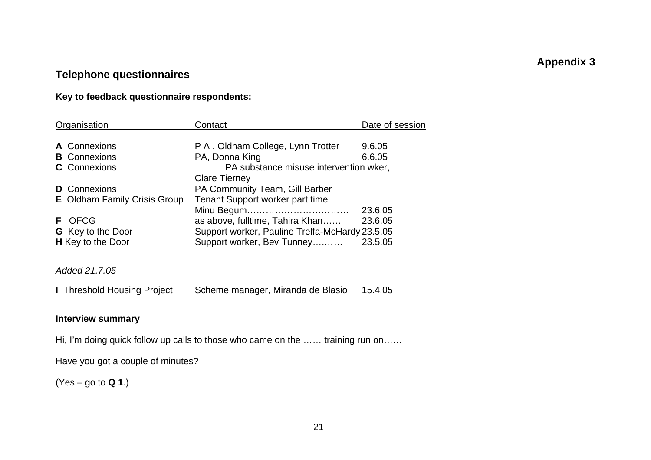# **Appendix 3**

# **Telephone questionnaires**

### **Key to feedback questionnaire respondents:**

| Organisation                        | Contact                                        | Date of session |
|-------------------------------------|------------------------------------------------|-----------------|
| A Connexions                        | P A, Oldham College, Lynn Trotter              | 9.6.05          |
| <b>B</b> Connexions                 | PA, Donna King                                 | 6.6.05          |
| <b>C</b> Connexions                 | PA substance misuse intervention wker,         |                 |
|                                     | <b>Clare Tierney</b>                           |                 |
| <b>D</b> Connexions                 | <b>PA Community Team, Gill Barber</b>          |                 |
| <b>E</b> Oldham Family Crisis Group | Tenant Support worker part time                |                 |
|                                     | Minu Begum                                     | 23.6.05         |
| <b>F</b> OFCG                       | as above, fulltime, Tahira Khan                | 23.6.05         |
| <b>G</b> Key to the Door            | Support worker, Pauline Trelfa-McHardy 23.5.05 |                 |
| <b>H</b> Key to the Door            | Support worker, Bev Tunney                     | 23.5.05         |
|                                     |                                                |                 |
|                                     |                                                |                 |

*Added 21.7.05* 

**I Threshold Housing Project Scheme manager, Miranda de Blasio 15.4.05** 

### **Interview summary**

Hi, I'm doing quick follow up calls to those who came on the …… training run on……

Have you got a couple of minutes?

(Yes – go to **Q 1**.)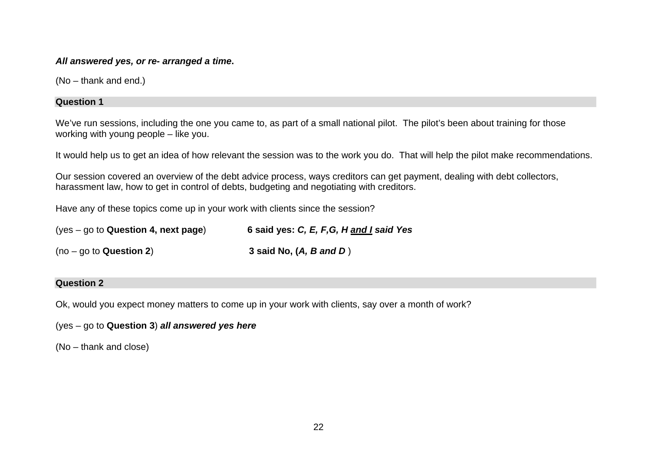#### *All answered yes, or re- arranged a time***.**

(No – thank and end.)

#### **Question 1**

We've run sessions, including the one you came to, as part of a small national pilot. The pilot's been about training for those working with young people – like you.

It would help us to get an idea of how relevant the session was to the work you do. That will help the pilot make recommendations.

Our session covered an overview of the debt advice process, ways creditors can get payment, dealing with debt collectors, harassment law, how to get in control of debts, budgeting and negotiating with creditors.

Have any of these topics come up in your work with clients since the session?

| $(yes - go to Question 4, next page)$ | 6 said yes: C, E, F, G, H and I said Yes |
|---------------------------------------|------------------------------------------|
| $(no - go to Question 2)$             | 3 said No, $(A, B \text{ and } D)$       |

#### **Question 2**

Ok, would you expect money matters to come up in your work with clients, say over a month of work?

(yes – go to **Question 3**) *all answered yes here*

(No – thank and close)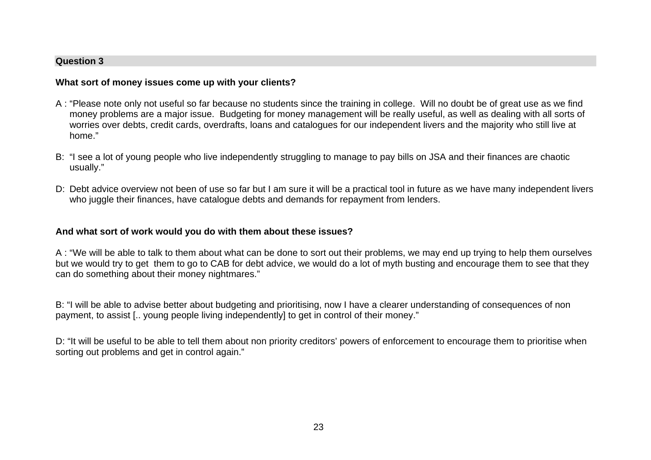#### **Question 3**

#### **What sort of money issues come up with your clients?**

- A : "Please note only not useful so far because no students since the training in college. Will no doubt be of great use as we find money problems are a major issue. Budgeting for money management will be really useful, as well as dealing with all sorts of worries over debts, credit cards, overdrafts, loans and catalogues for our independent livers and the majority who still live at home."
- B: "I see a lot of young people who live independently struggling to manage to pay bills on JSA and their finances are chaotic usually."
- D: Debt advice overview not been of use so far but I am sure it will be a practical tool in future as we have many independent livers who juggle their finances, have catalogue debts and demands for repayment from lenders.

### **And what sort of work would you do with them about these issues?**

A : "We will be able to talk to them about what can be done to sort out their problems, we may end up trying to help them ourselves but we would try to get them to go to CAB for debt advice, we would do a lot of myth busting and encourage them to see that they can do something about their money nightmares."

B: "I will be able to advise better about budgeting and prioritising, now I have a clearer understanding of consequences of non payment, to assist [.. young people living independently] to get in control of their money."

D: "It will be useful to be able to tell them about non priority creditors' powers of enforcement to encourage them to prioritise when sorting out problems and get in control again."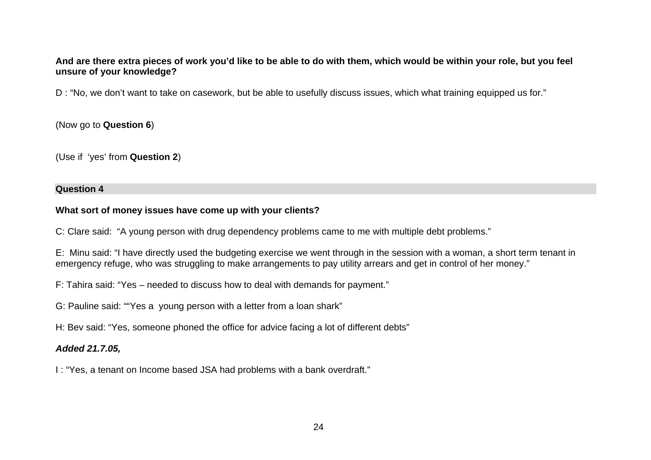### **And are there extra pieces of work you'd like to be able to do with them, which would be within your role, but you feel unsure of your knowledge?**

D : "No, we don't want to take on casework, but be able to usefully discuss issues, which what training equipped us for."

(Now go to **Question 6**)

(Use if 'yes' from **Question 2**)

#### **Question 4**

### **What sort of money issues have come up with your clients?**

C: Clare said: "A young person with drug dependency problems came to me with multiple debt problems."

E: Minu said: "I have directly used the budgeting exercise we went through in the session with a woman, a short term tenant in emergency refuge, who was struggling to make arrangements to pay utility arrears and get in control of her money."

F: Tahira said: "Yes – needed to discuss how to deal with demands for payment."

G: Pauline said: ""Yes a young person with a letter from a loan shark"

H: Bev said: "Yes, someone phoned the office for advice facing a lot of different debts"

### *Added 21.7.05,*

I : "Yes, a tenant on Income based JSA had problems with a bank overdraft."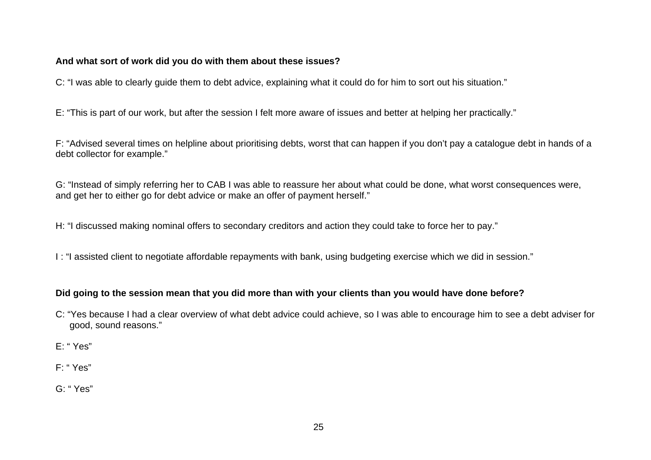### **And what sort of work did you do with them about these issues?**

C: "I was able to clearly guide them to debt advice, explaining what it could do for him to sort out his situation."

E: "This is part of our work, but after the session I felt more aware of issues and better at helping her practically."

F: "Advised several times on helpline about prioritising debts, worst that can happen if you don't pay a catalogue debt in hands of a debt collector for example."

G: "Instead of simply referring her to CAB I was able to reassure her about what could be done, what worst consequences were, and get her to either go for debt advice or make an offer of payment herself."

H: "I discussed making nominal offers to secondary creditors and action they could take to force her to pay."

I : "I assisted client to negotiate affordable repayments with bank, using budgeting exercise which we did in session."

### **Did going to the session mean that you did more than with your clients than you would have done before?**

- C: "Yes because I had a clear overview of what debt advice could achieve, so I was able to encourage him to see a debt adviser for good, sound reasons."
- E: " Yes"
- F: " Yes"
- G: " Yes"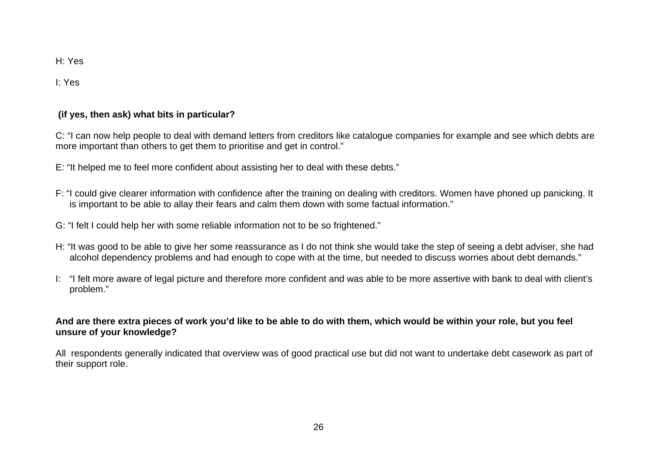H: Yes

I: Yes

### **(if yes, then ask) what bits in particular?**

C: "I can now help people to deal with demand letters from creditors like catalogue companies for example and see which debts are more important than others to get them to prioritise and get in control."

- E: "It helped me to feel more confident about assisting her to deal with these debts."
- F: "I could give clearer information with confidence after the training on dealing with creditors. Women have phoned up panicking. It is important to be able to allay their fears and calm them down with some factual information."
- G: "I felt I could help her with some reliable information not to be so frightened."
- H: "It was good to be able to give her some reassurance as I do not think she would take the step of seeing a debt adviser, she had alcohol dependency problems and had enough to cope with at the time, but needed to discuss worries about debt demands."
- I: "I felt more aware of legal picture and therefore more confident and was able to be more assertive with bank to deal with client's problem."

### **And are there extra pieces of work you'd like to be able to do with them, which would be within your role, but you feel unsure of your knowledge?**

All respondents generally indicated that overview was of good practical use but did not want to undertake debt casework as part of their support role.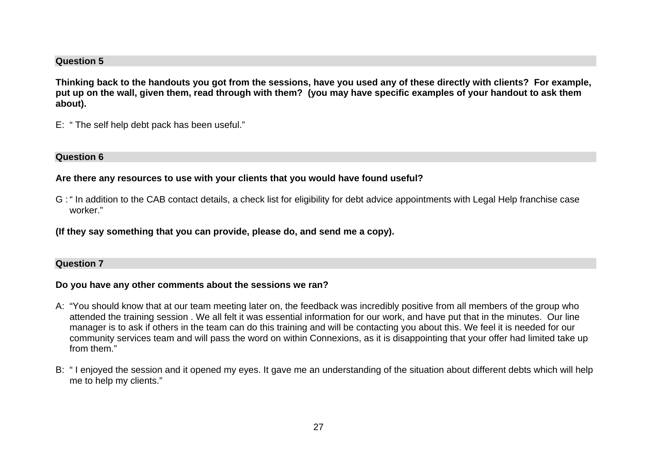#### **Question 5**

**Thinking back to the handouts you got from the sessions, have you used any of these directly with clients? For example, put up on the wall, given them, read through with them? (you may have specific examples of your handout to ask them about).** 

E: " The self help debt pack has been useful."

#### **Question 6**

#### **Are there any resources to use with your clients that you would have found useful?**

G : " In addition to the CAB contact details, a check list for eligibility for debt advice appointments with Legal Help franchise case worker."

**(If they say something that you can provide, please do, and send me a copy).** 

#### **Question 7**

#### **Do you have any other comments about the sessions we ran?**

- A: "You should know that at our team meeting later on, the feedback was incredibly positive from all members of the group who attended the training session . We all felt it was essential information for our work, and have put that in the minutes. Our line manager is to ask if others in the team can do this training and will be contacting you about this. We feel it is needed for our community services team and will pass the word on within Connexions, as it is disappointing that your offer had limited take up from them."
- B: " I enjoyed the session and it opened my eyes. It gave me an understanding of the situation about different debts which will help me to help my clients."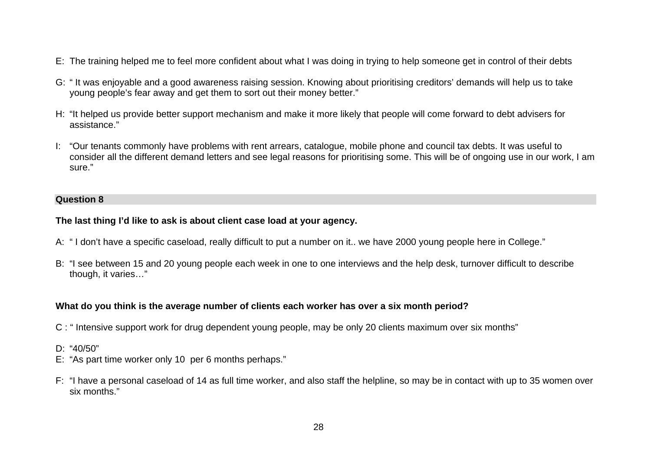- E: The training helped me to feel more confident about what I was doing in trying to help someone get in control of their debts
- G: " It was enjoyable and a good awareness raising session. Knowing about prioritising creditors' demands will help us to take young people's fear away and get them to sort out their money better."
- H: "It helped us provide better support mechanism and make it more likely that people will come forward to debt advisers for assistance."
- I: "Our tenants commonly have problems with rent arrears, catalogue, mobile phone and council tax debts. It was useful to consider all the different demand letters and see legal reasons for prioritising some. This will be of ongoing use in our work, I am sure."

#### **Question 8**

#### **The last thing I'd like to ask is about client case load at your agency.**

- A: " I don't have a specific caseload, really difficult to put a number on it.. we have 2000 young people here in College."
- B: "I see between 15 and 20 young people each week in one to one interviews and the help desk, turnover difficult to describe though, it varies…"

### **What do you think is the average number of clients each worker has over a six month period?**

- C : " Intensive support work for drug dependent young people, may be only 20 clients maximum over six months"
- D: "40/50"
- E: "As part time worker only 10 per 6 months perhaps."
- F: "I have a personal caseload of 14 as full time worker, and also staff the helpline, so may be in contact with up to 35 women over six months."